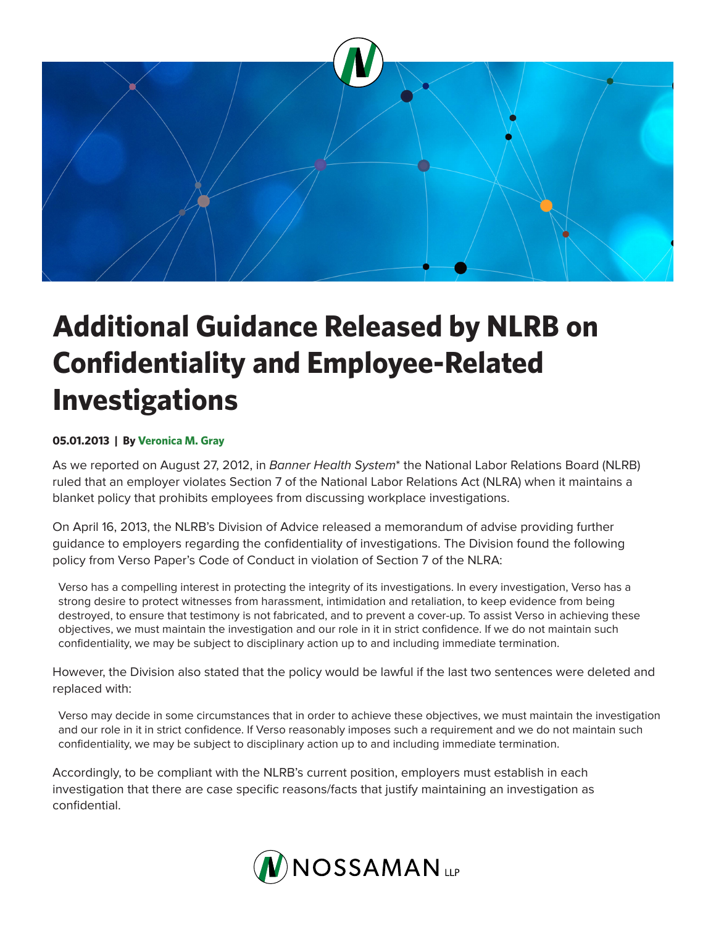

## **Additional Guidance Released by NLRB on Confidentiality and Employee-Related Investigations**

## **05.01.2013 | By Veronica M. Gray**

As we reported on August 27, 2012, in *Banner Health System*\* the National Labor Relations Board (NLRB) ruled that an employer violates Section 7 of the National Labor Relations Act (NLRA) when it maintains a blanket policy that prohibits employees from discussing workplace investigations.

On April 16, 2013, the NLRB's Division of Advice released a memorandum of advise providing further guidance to employers regarding the confidentiality of investigations. The Division found the following policy from Verso Paper's Code of Conduct in violation of Section 7 of the NLRA:

Verso has a compelling interest in protecting the integrity of its investigations. In every investigation, Verso has a strong desire to protect witnesses from harassment, intimidation and retaliation, to keep evidence from being destroyed, to ensure that testimony is not fabricated, and to prevent a cover-up. To assist Verso in achieving these objectives, we must maintain the investigation and our role in it in strict confidence. If we do not maintain such confidentiality, we may be subject to disciplinary action up to and including immediate termination.

However, the Division also stated that the policy would be lawful if the last two sentences were deleted and replaced with:

Verso may decide in some circumstances that in order to achieve these objectives, we must maintain the investigation and our role in it in strict confidence. If Verso reasonably imposes such a requirement and we do not maintain such confidentiality, we may be subject to disciplinary action up to and including immediate termination.

Accordingly, to be compliant with the NLRB's current position, employers must establish in each investigation that there are case specific reasons/facts that justify maintaining an investigation as confidential.